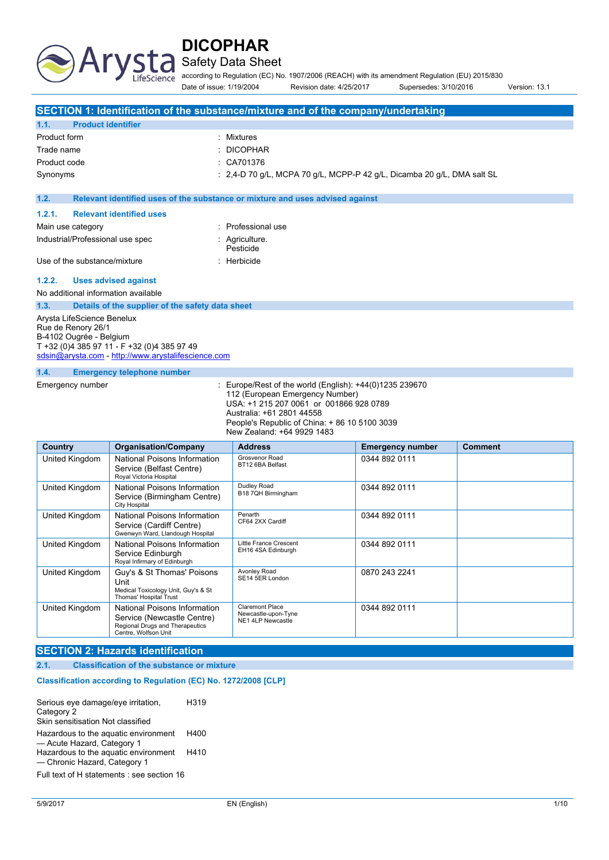

**a** Safety Data Sheet

according to Regulation (EC) No. 1907/2006 (REACH) with its amendment Regulation (EU) 2015/830 Date of issue: 1/19/2004 Revision date: 4/25/2017 Supersedes: 3/10/2016 Version: 13.1

|                                           | SECTION 1: Identification of the substance/mixture and of the company/undertaking |
|-------------------------------------------|-----------------------------------------------------------------------------------|
| <b>Product identifier</b><br>1.1.         |                                                                                   |
| Product form                              | : Mixtures                                                                        |
| Trade name                                | $\therefore$ DICOPHAR                                                             |
| Product code                              | $\therefore$ CA701376                                                             |
| Synonyms                                  | : 2.4-D 70 g/L, MCPA 70 g/L, MCPP-P 42 g/L, Dicamba 20 g/L, DMA salt SL           |
|                                           |                                                                                   |
| 1.2.                                      | Relevant identified uses of the substance or mixture and uses advised against     |
| <b>Relevant identified uses</b><br>1.2.1. |                                                                                   |
| Main use category                         | : Professional use                                                                |
| Industrial/Professional use spec          | : Agriculture.                                                                    |
|                                           | Pesticide                                                                         |
| Use of the substance/mixture              | : Herbicide                                                                       |
| 1.2.2.<br><b>Uses advised against</b>     |                                                                                   |
|                                           |                                                                                   |

No additional information available

**1.3. Details of the supplier of the safety data sheet**

Arysta LifeScience Benelux Rue de Renory 26/1 B-4102 Ougrée - Belgium T +32 (0)4 385 97 11 - F +32 (0)4 385 97 49 [sdsin@arysta.com](mailto:sdsin@arysta.com) - [http://www.arystalifescience.com](http://www.arystalifescience.com/)

#### **1.4. Emergency telephone number**

Emergency number : Europe/Rest of the world (English): +44(0)1235 239670 112 (European Emergency Number) USA: +1 215 207 0061 or 001866 928 0789 Australia: +61 2801 44558 People's Republic of China: + 86 10 5100 3039 New Zealand: +64 9929 1483

| Country        | <b>Organisation/Company</b>                                                                                           | <b>Address</b>                                                     | <b>Emergency number</b> | <b>Comment</b> |
|----------------|-----------------------------------------------------------------------------------------------------------------------|--------------------------------------------------------------------|-------------------------|----------------|
| United Kingdom | National Poisons Information<br>Service (Belfast Centre)<br>Royal Victoria Hospital                                   | Grosvenor Road<br>BT12 6BA Belfast                                 | 0344 892 0111           |                |
| United Kingdom | National Poisons Information<br>Service (Birmingham Centre)<br><b>City Hospital</b>                                   | Dudley Road<br>B18 7QH Birmingham                                  | 0344 892 0111           |                |
| United Kingdom | National Poisons Information<br>Service (Cardiff Centre)<br>Gwenwyn Ward, Llandough Hospital                          | Penarth<br>CF64 2XX Cardiff                                        | 0344 892 0111           |                |
| United Kingdom | National Poisons Information<br>Service Edinburgh<br>Royal Infirmary of Edinburgh                                     | Little France Crescent<br>EH16 4SA Edinburgh                       | 0344 892 0111           |                |
| United Kingdom | Guy's & St Thomas' Poisons<br>Unit<br>Medical Toxicology Unit, Guy's & St<br>Thomas' Hospital Trust                   | Avonley Road<br>SE14 5ER London                                    | 0870 243 2241           |                |
| United Kingdom | National Poisons Information<br>Service (Newcastle Centre)<br>Regional Drugs and Therapeutics<br>Centre, Wolfson Unit | <b>Claremont Place</b><br>Newcastle-upon-Tyne<br>NE1 4LP Newcastle | 0344 892 0111           |                |

#### **SECTION 2: Hazards identification**

**2.1. Classification of the substance or mixture**

#### Classification according to Regulation (EC) No. 1272/2008 [CLP]

| Serious eye damage/eye irritation,<br>Category 2<br>Skin sensitisation Not classified                                                      | H319         |
|--------------------------------------------------------------------------------------------------------------------------------------------|--------------|
| Hazardous to the aquatic environment<br>- Acute Hazard, Category 1<br>Hazardous to the aquatic environment<br>- Chronic Hazard, Category 1 | H400<br>H410 |

Full text of H statements : see section 16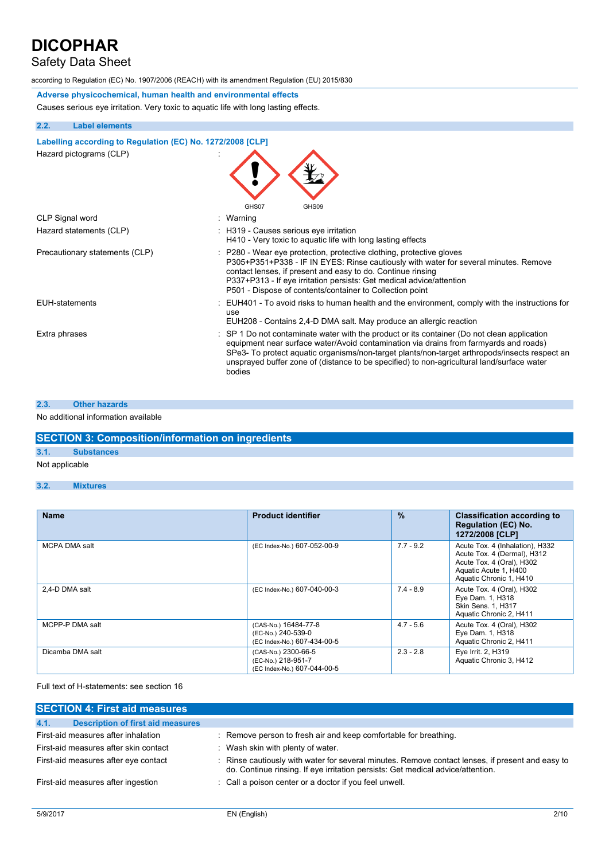## Safety Data Sheet

according to Regulation (EC) No. 1907/2006 (REACH) with its amendment Regulation (EU) 2015/830

**Adverse physicochemical, human health and environmental effects** Causes serious eye irritation. Very toxic to aquatic life with long lasting effects.

### **2.2. Label elements**

**Labelling according to Regulation** (EC) No. 1272/2008 [CLP] Hazard pictograms (CLP) : N A

|                                | GHS07<br>GHS09                                                                                                                                                                                                                                                                                                                                                                                           |
|--------------------------------|----------------------------------------------------------------------------------------------------------------------------------------------------------------------------------------------------------------------------------------------------------------------------------------------------------------------------------------------------------------------------------------------------------|
| CLP Signal word                | : Warning                                                                                                                                                                                                                                                                                                                                                                                                |
| Hazard statements (CLP)        | : H319 - Causes serious eye irritation<br>H410 - Very toxic to aquatic life with long lasting effects                                                                                                                                                                                                                                                                                                    |
| Precautionary statements (CLP) | : P280 - Wear eye protection, protective clothing, protective gloves<br>P305+P351+P338 - IF IN EYES: Rinse cautiously with water for several minutes. Remove<br>contact lenses, if present and easy to do. Continue rinsing<br>P337+P313 - If eye irritation persists: Get medical advice/attention<br>P501 - Dispose of contents/container to Collection point                                          |
| EUH-statements                 | : EUH401 - To avoid risks to human health and the environment, comply with the instructions for<br>use<br>EUH208 - Contains 2,4-D DMA salt. May produce an allergic reaction                                                                                                                                                                                                                             |
| Extra phrases                  | $\therefore$ SP 1 Do not contaminate water with the product or its container (Do not clean application<br>equipment near surface water/Avoid contamination via drains from farmyards and roads)<br>SPe3- To protect aquatic organisms/non-target plants/non-target arthropods/insects respect an<br>unsprayed buffer zone of (distance to be specified) to non-agricultural land/surface water<br>bodies |

#### **2.3. Other hazards**

#### No additional information available

| <b>SECTION 3: Composition/information on ingredients</b> |  |
|----------------------------------------------------------|--|
|                                                          |  |

### **3.1. Substances**

### Not applicable

**3.2. Mixtures**

| <b>Name</b>      | <b>Product identifier</b>                                                 | $\%$        | <b>Classification according to</b><br><b>Regulation (EC) No.</b><br>1272/2008 [CLP]                                                             |
|------------------|---------------------------------------------------------------------------|-------------|-------------------------------------------------------------------------------------------------------------------------------------------------|
| MCPA DMA salt    | (EC Index-No.) 607-052-00-9                                               | $7.7 - 9.2$ | Acute Tox. 4 (Inhalation), H332<br>Acute Tox. 4 (Dermal), H312<br>Acute Tox. 4 (Oral), H302<br>Aquatic Acute 1, H400<br>Aquatic Chronic 1, H410 |
| 2.4-D DMA salt   | (EC Index-No.) 607-040-00-3                                               | $7.4 - 8.9$ | Acute Tox. 4 (Oral), H302<br>Eye Dam. 1, H318<br>Skin Sens. 1, H317<br>Aquatic Chronic 2, H411                                                  |
| MCPP-P DMA salt  | (CAS-No.) 16484-77-8<br>(EC-No.) 240-539-0<br>(EC Index-No.) 607-434-00-5 | $4.7 - 5.6$ | Acute Tox. 4 (Oral), H302<br>Eye Dam. 1, H318<br>Aquatic Chronic 2, H411                                                                        |
| Dicamba DMA salt | (CAS-No.) 2300-66-5<br>(EC-No.) 218-951-7<br>(EC Index-No.) 607-044-00-5  | $2.3 - 2.8$ | Eye Irrit. 2, H319<br>Aquatic Chronic 3, H412                                                                                                   |

Full text of H-statements: see section 16

| <b>SECTION 4: First aid measures</b>             |                                                                                                                                                                                   |
|--------------------------------------------------|-----------------------------------------------------------------------------------------------------------------------------------------------------------------------------------|
| 4.1.<br><b>Description of first aid measures</b> |                                                                                                                                                                                   |
| First-aid measures after inhalation              | : Remove person to fresh air and keep comfortable for breathing.                                                                                                                  |
| First-aid measures after skin contact            | : Wash skin with plenty of water.                                                                                                                                                 |
| First-aid measures after eye contact             | Rinse cautiously with water for several minutes. Remove contact lenses, if present and easy to<br>do. Continue rinsing. If eye irritation persists: Get medical advice/attention. |
| First-aid measures after ingestion               | : Call a poison center or a doctor if you feel unwell.                                                                                                                            |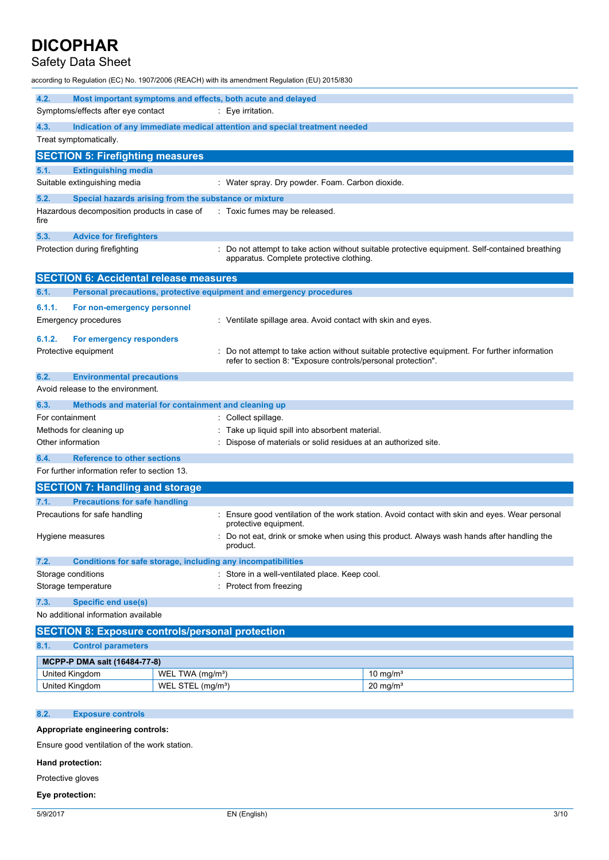## Safety Data Sheet

according to Regulation (EC) No. 1907/2006 (REACH) with its amendment Regulation (EU) 2015/830

| 4.2.                                                       | Most important symptoms and effects, both acute and delayed                |                                                                                                                                                              |  |  |
|------------------------------------------------------------|----------------------------------------------------------------------------|--------------------------------------------------------------------------------------------------------------------------------------------------------------|--|--|
| Symptoms/effects after eye contact                         | $: Eye$ irritation.                                                        |                                                                                                                                                              |  |  |
| 4.3.                                                       | Indication of any immediate medical attention and special treatment needed |                                                                                                                                                              |  |  |
| Treat symptomatically.                                     |                                                                            |                                                                                                                                                              |  |  |
| <b>SECTION 5: Firefighting measures</b>                    |                                                                            |                                                                                                                                                              |  |  |
| 5.1.<br><b>Extinguishing media</b>                         |                                                                            |                                                                                                                                                              |  |  |
| Suitable extinguishing media                               | : Water spray. Dry powder. Foam. Carbon dioxide.                           |                                                                                                                                                              |  |  |
| 5.2.                                                       | Special hazards arising from the substance or mixture                      |                                                                                                                                                              |  |  |
| Hazardous decomposition products in case of<br>fire        | : Toxic fumes may be released.                                             |                                                                                                                                                              |  |  |
| 5.3.<br><b>Advice for firefighters</b>                     |                                                                            |                                                                                                                                                              |  |  |
| Protection during firefighting                             | apparatus. Complete protective clothing.                                   | Do not attempt to take action without suitable protective equipment. Self-contained breathing                                                                |  |  |
| <b>SECTION 6: Accidental release measures</b>              |                                                                            |                                                                                                                                                              |  |  |
| 6.1.                                                       | Personal precautions, protective equipment and emergency procedures        |                                                                                                                                                              |  |  |
| 6.1.1.<br>For non-emergency personnel                      |                                                                            |                                                                                                                                                              |  |  |
| <b>Emergency procedures</b>                                |                                                                            | : Ventilate spillage area. Avoid contact with skin and eyes.                                                                                                 |  |  |
|                                                            |                                                                            |                                                                                                                                                              |  |  |
| 6.1.2.<br>For emergency responders<br>Protective equipment |                                                                            | Do not attempt to take action without suitable protective equipment. For further information<br>refer to section 8: "Exposure controls/personal protection". |  |  |
| 6.2.<br><b>Environmental precautions</b>                   |                                                                            |                                                                                                                                                              |  |  |
| Avoid release to the environment.                          |                                                                            |                                                                                                                                                              |  |  |
| 6.3.                                                       | Methods and material for containment and cleaning up                       |                                                                                                                                                              |  |  |
| For containment                                            | Collect spillage.                                                          |                                                                                                                                                              |  |  |
| Methods for cleaning up                                    | Take up liquid spill into absorbent material.                              |                                                                                                                                                              |  |  |
| Other information                                          |                                                                            | Dispose of materials or solid residues at an authorized site.                                                                                                |  |  |
| <b>Reference to other sections</b><br>6.4.                 |                                                                            |                                                                                                                                                              |  |  |
| For further information refer to section 13.               |                                                                            |                                                                                                                                                              |  |  |
| <b>SECTION 7: Handling and storage</b>                     |                                                                            |                                                                                                                                                              |  |  |
| <b>Precautions for safe handling</b><br>7.1.               |                                                                            |                                                                                                                                                              |  |  |
| Precautions for safe handling                              | protective equipment.                                                      | Ensure good ventilation of the work station. Avoid contact with skin and eyes. Wear personal                                                                 |  |  |
| Hygiene measures                                           | product.                                                                   | Do not eat, drink or smoke when using this product. Always wash hands after handling the                                                                     |  |  |
| 7.2.                                                       | Conditions for safe storage, including any incompatibilities               |                                                                                                                                                              |  |  |
| Storage conditions                                         | Store in a well-ventilated place. Keep cool.                               |                                                                                                                                                              |  |  |
| Storage temperature                                        | Protect from freezing                                                      |                                                                                                                                                              |  |  |
| <b>Specific end use(s)</b><br>7.3.                         |                                                                            |                                                                                                                                                              |  |  |
|                                                            | No additional information available                                        |                                                                                                                                                              |  |  |
| <b>SECTION 8: Exposure controls/personal protection</b>    |                                                                            |                                                                                                                                                              |  |  |
| 8.1.<br><b>Control parameters</b>                          |                                                                            |                                                                                                                                                              |  |  |
| MCPP-P DMA salt (16484-77-8)                               |                                                                            |                                                                                                                                                              |  |  |
| United Kingdom                                             | WEL TWA (mg/m <sup>3</sup> )                                               | 10 mg/ $m3$                                                                                                                                                  |  |  |
| United Kingdom                                             | WEL STEL (mg/m <sup>3</sup> )                                              | $20$ mg/m <sup>3</sup>                                                                                                                                       |  |  |
|                                                            |                                                                            |                                                                                                                                                              |  |  |
|                                                            |                                                                            |                                                                                                                                                              |  |  |

**Appropriate engineering controls:**

Ensure good ventilation of the work station.

### **Hand protection:**

Protective gloves

### **Eye protection:**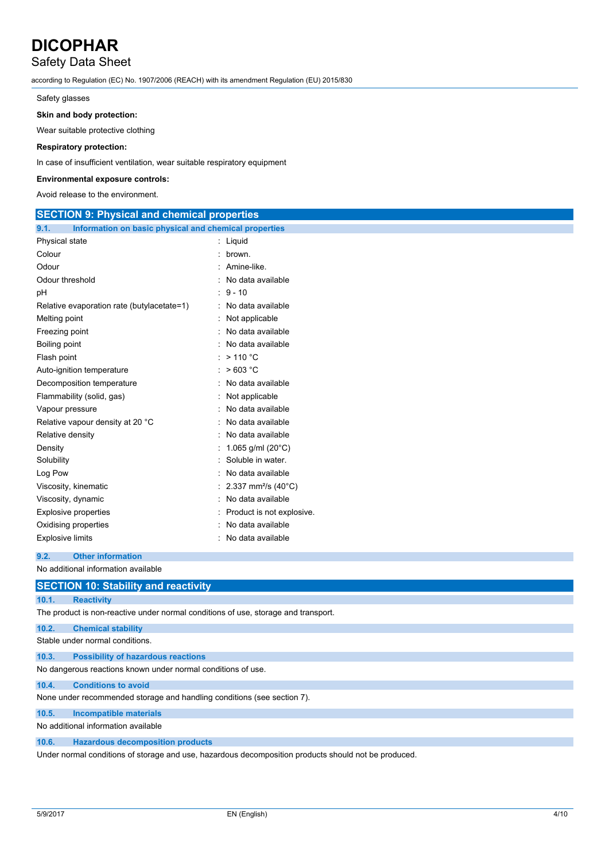### Safety Data Sheet

according to Regulation (EC) No. 1907/2006 (REACH) with its amendment Regulation (EU) 2015/830

Safety glasses

#### **Skin and body protection:**

Wear suitable protective clothing

### **Respiratory protection:**

In case of insufficient ventilation, wear suitable respiratory equipment

#### **Environmental exposure controls:**

Avoid release to the environment.

| <b>SECTION 9: Physical and chemical properties</b>            |                                   |  |  |
|---------------------------------------------------------------|-----------------------------------|--|--|
| Information on basic physical and chemical properties<br>9.1. |                                   |  |  |
| Physical state                                                | : Liquid                          |  |  |
| Colour                                                        | brown.                            |  |  |
| Odour                                                         | : Amine-like.                     |  |  |
| Odour threshold                                               | : No data available               |  |  |
| рH                                                            | $: 9 - 10$                        |  |  |
| Relative evaporation rate (butylacetate=1)                    | : No data available               |  |  |
| Melting point                                                 | Not applicable                    |  |  |
| Freezing point                                                | No data available                 |  |  |
| Boiling point                                                 | : No data available               |  |  |
| Flash point                                                   | $:$ > 110 °C                      |  |  |
| Auto-ignition temperature                                     | : $>603 °C$                       |  |  |
| Decomposition temperature                                     | : No data available               |  |  |
| Flammability (solid, gas)                                     | : Not applicable                  |  |  |
| Vapour pressure                                               | No data available                 |  |  |
| Relative vapour density at 20 °C                              | No data available                 |  |  |
| Relative density                                              | No data available                 |  |  |
| Density                                                       | : 1.065 g/ml (20°C)               |  |  |
| Solubility                                                    | Soluble in water.                 |  |  |
| Log Pow                                                       | No data available                 |  |  |
| Viscosity, kinematic                                          | : 2.337 mm <sup>2</sup> /s (40°C) |  |  |
| Viscosity, dynamic                                            | No data available                 |  |  |
| <b>Explosive properties</b>                                   | Product is not explosive.         |  |  |
| Oxidising properties                                          | No data available                 |  |  |
| <b>Explosive limits</b>                                       | : No data available               |  |  |

### **9.2. Other information**

No additional information available

|                                     | <b>SECTION 10: Stability and reactivity</b>                                                          |  |
|-------------------------------------|------------------------------------------------------------------------------------------------------|--|
| 10.1.                               | <b>Reactivity</b>                                                                                    |  |
|                                     | The product is non-reactive under normal conditions of use, storage and transport.                   |  |
| 10.2.                               | <b>Chemical stability</b>                                                                            |  |
|                                     | Stable under normal conditions.                                                                      |  |
| 10.3.                               | <b>Possibility of hazardous reactions</b>                                                            |  |
|                                     | No dangerous reactions known under normal conditions of use.                                         |  |
| 10.4.                               | <b>Conditions to avoid</b>                                                                           |  |
|                                     | None under recommended storage and handling conditions (see section 7).                              |  |
| 10.5.                               | <b>Incompatible materials</b>                                                                        |  |
| No additional information available |                                                                                                      |  |
| 10.6.                               | <b>Hazardous decomposition products</b>                                                              |  |
|                                     | Under normal conditions of storage and use, hazardous decomposition products should not be produced. |  |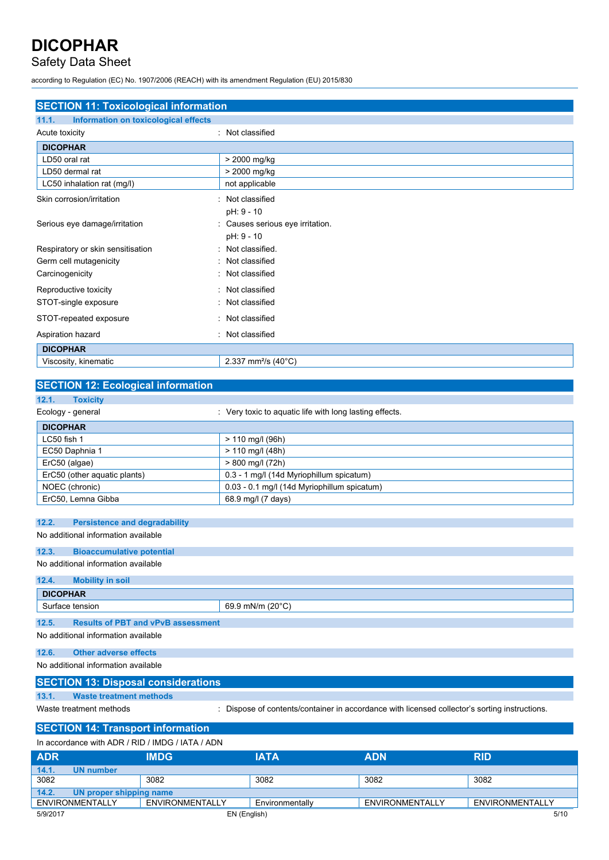## Safety Data Sheet

according to Regulation (EC) No. 1907/2006 (REACH) with its amendment Regulation (EU) 2015/830

| <b>SECTION 11: Toxicological information</b>  |                                            |  |  |
|-----------------------------------------------|--------------------------------------------|--|--|
| 11.1.<br>Information on toxicological effects |                                            |  |  |
| Acute toxicity                                | : Not classified                           |  |  |
| <b>DICOPHAR</b>                               |                                            |  |  |
| LD50 oral rat                                 | > 2000 mg/kg                               |  |  |
| LD50 dermal rat                               | > 2000 mg/kg                               |  |  |
| LC50 inhalation rat (mg/l)                    | not applicable                             |  |  |
| Skin corrosion/irritation                     | : Not classified                           |  |  |
|                                               | pH: 9 - 10                                 |  |  |
| Serious eye damage/irritation                 | Causes serious eye irritation.             |  |  |
|                                               | pH: 9 - 10                                 |  |  |
| Respiratory or skin sensitisation             | : Not classified.                          |  |  |
| Germ cell mutagenicity                        | Not classified<br>٠                        |  |  |
| Carcinogenicity                               | Not classified<br>÷.                       |  |  |
| Reproductive toxicity                         | : Not classified                           |  |  |
| STOT-single exposure                          | : Not classified                           |  |  |
| STOT-repeated exposure                        | : Not classified                           |  |  |
| Aspiration hazard                             | : Not classified                           |  |  |
| <b>DICOPHAR</b>                               |                                            |  |  |
| Viscosity, kinematic                          | 2.337 mm <sup>2</sup> /s (40 $^{\circ}$ C) |  |  |
|                                               |                                            |  |  |

### **SECTION 12: Ecological information 12.1. Toxicity** Ecology - general interval in the secology - general intervals of the very toxic to aquatic life with long lasting effects. **DICOPHAR** LC50 fish 1 > 110 mg/l (96h) EC50 Daphnia 1 > 110 mg/l (48h) ErC50 (algae) > 800 mg/l (72h) ErC50 (other aquatic plants) 0.3 - 1 mg/l (14d Myriophillum spicatum) NOEC (chronic) 0.03 - 0.1 mg/l (14d Myriophillum spicatum) ErC50, Lemna Gibba 68.9 mg/l (7 days)

#### **12.2. Persistence and degradability**

### No additional information available

### **12.3. Bioaccumulative potential**

### No additional information available

### **12.4. Mobility in soil DICOPHAR** Surface tension 69.9 mN/m (20°C) **12.5. Results of PBT and vPvB assessment**

No additional information available

#### **12.6. Other adverse effects**

No additional information available

### **SECTION 13: Disposal considerations**

**13.1. Waste treatment methods**

Waste treatment methods : Dispose of contents/container in accordance with licensed collector's sorting instructions.

### **SECTION 14: Transport information**

In accordance with ADR / RID / IMDG / IATA / ADN

| <b>ADR</b>                       | <b>IMDG</b>     | IATA            | <b>ADN</b>      | <b>RID</b>      |
|----------------------------------|-----------------|-----------------|-----------------|-----------------|
| 14.1.<br><b>UN number</b>        |                 |                 |                 |                 |
| 3082                             | 3082            | 3082            | 3082            | 3082            |
| 14.2.<br>UN proper shipping name |                 |                 |                 |                 |
| ENVIRONMENTALLY                  | ENVIRONMENTALLY | Environmentally | ENVIRONMENTALLY | ENVIRONMENTALLY |
| 5/9/2017                         |                 | EN (English)    |                 | 5/10            |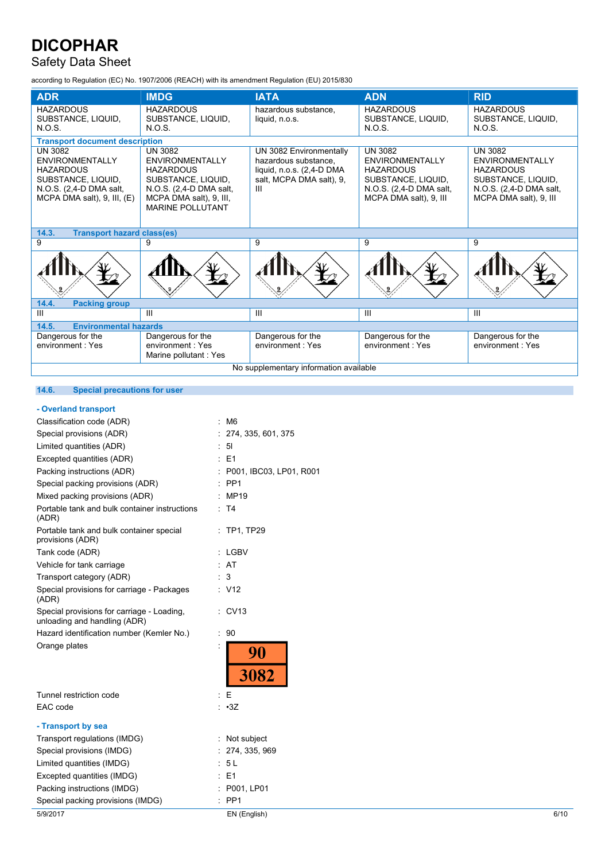## Safety Data Sheet

according to Regulation (EC) No. 1907/2006 (REACH) with its amendment Regulation (EU) 2015/830

| <b>ADR</b>                                                                                                                                        | <b>IMDG</b>                                                                                                                                                         | <b>IATA</b>                                                                                                   | <b>ADN</b>                                                                                                                              | <b>RID</b>                                                                                                                              |
|---------------------------------------------------------------------------------------------------------------------------------------------------|---------------------------------------------------------------------------------------------------------------------------------------------------------------------|---------------------------------------------------------------------------------------------------------------|-----------------------------------------------------------------------------------------------------------------------------------------|-----------------------------------------------------------------------------------------------------------------------------------------|
| <b>HAZARDOUS</b><br>SUBSTANCE, LIQUID,<br>N.O.S.                                                                                                  | <b>HAZARDOUS</b><br>SUBSTANCE, LIQUID,<br>N.O.S.                                                                                                                    | hazardous substance.<br>liquid, n.o.s.                                                                        | <b>HAZARDOUS</b><br>SUBSTANCE, LIQUID,<br>N.O.S.                                                                                        | <b>HAZARDOUS</b><br>SUBSTANCE, LIQUID,<br>N.O.S.                                                                                        |
| <b>Transport document description</b>                                                                                                             |                                                                                                                                                                     |                                                                                                               |                                                                                                                                         |                                                                                                                                         |
| <b>UN 3082</b><br><b>ENVIRONMENTALLY</b><br><b>HAZARDOUS</b><br>SUBSTANCE, LIQUID,<br>N.O.S. (2,4-D DMA salt,<br>MCPA DMA salt), $9$ , III, $(E)$ | <b>UN 3082</b><br><b>ENVIRONMENTALLY</b><br><b>HAZARDOUS</b><br>SUBSTANCE, LIQUID,<br>N.O.S. (2,4-D DMA salt,<br>MCPA DMA salt), 9, III,<br><b>MARINE POLLUTANT</b> | UN 3082 Environmentally<br>hazardous substance.<br>liquid, n.o.s. (2,4-D DMA<br>salt, MCPA DMA salt), 9,<br>Ш | <b>UN 3082</b><br><b>ENVIRONMENTALLY</b><br><b>HAZARDOUS</b><br>SUBSTANCE, LIQUID,<br>N.O.S. (2,4-D DMA salt,<br>MCPA DMA salt), 9, III | <b>UN 3082</b><br><b>ENVIRONMENTALLY</b><br><b>HAZARDOUS</b><br>SUBSTANCE, LIQUID,<br>N.O.S. (2,4-D DMA salt,<br>MCPA DMA salt), 9, III |
| <b>Transport hazard class(es)</b><br>14.3.                                                                                                        |                                                                                                                                                                     |                                                                                                               |                                                                                                                                         |                                                                                                                                         |
| 9                                                                                                                                                 | 9                                                                                                                                                                   | 9                                                                                                             | 9                                                                                                                                       | 9                                                                                                                                       |
|                                                                                                                                                   |                                                                                                                                                                     |                                                                                                               |                                                                                                                                         |                                                                                                                                         |
| 14.4.<br><b>Packing group</b>                                                                                                                     |                                                                                                                                                                     |                                                                                                               |                                                                                                                                         |                                                                                                                                         |
| III                                                                                                                                               | Ш                                                                                                                                                                   | Ш                                                                                                             | Ш                                                                                                                                       | Ш                                                                                                                                       |
| <b>Environmental hazards</b><br>14.5.                                                                                                             |                                                                                                                                                                     |                                                                                                               |                                                                                                                                         |                                                                                                                                         |
| Dangerous for the<br>environment: Yes                                                                                                             | Dangerous for the<br>environment: Yes<br>Marine pollutant: Yes                                                                                                      | Dangerous for the<br>environment: Yes                                                                         | Dangerous for the<br>environment: Yes                                                                                                   | Dangerous for the<br>environment: Yes                                                                                                   |
| No supplementary information available                                                                                                            |                                                                                                                                                                     |                                                                                                               |                                                                                                                                         |                                                                                                                                         |

### **14.6. Special precautions for user**

### **- Overland transport**

| 5/9/2017                                                                   | EN (English)              | 6/10 |
|----------------------------------------------------------------------------|---------------------------|------|
| Special packing provisions (IMDG)                                          | PP <sub>1</sub><br>t.     |      |
| Packing instructions (IMDG)                                                | P001, LP01                |      |
| Excepted quantities (IMDG)                                                 | E <sub>1</sub>            |      |
| Limited quantities (IMDG)                                                  | : 5L                      |      |
| Special provisions (IMDG)                                                  | : 274, 335, 969           |      |
| Transport regulations (IMDG)                                               | : Not subject             |      |
| - Transport by sea                                                         |                           |      |
| EAC code                                                                   | : 3Z                      |      |
| Tunnel restriction code                                                    | Е                         |      |
| Orange plates                                                              | 90<br><b>3082</b>         |      |
| Hazard identification number (Kemler No.)                                  | : 90                      |      |
| Special provisions for carriage - Loading,<br>unloading and handling (ADR) | $\therefore$ CV13         |      |
| Special provisions for carriage - Packages<br>(ADR)                        | : V12                     |      |
| Transport category (ADR)                                                   | : 3                       |      |
| Vehicle for tank carriage                                                  | : AT                      |      |
| Tank code (ADR)                                                            | : LGBV                    |      |
| Portable tank and bulk container special<br>provisions (ADR)               | : TP1, TP29               |      |
| Portable tank and bulk container instructions<br>(ADR)                     | : T4                      |      |
| Mixed packing provisions (ADR)                                             | : MP19                    |      |
| Special packing provisions (ADR)                                           | $:$ PP1                   |      |
| Packing instructions (ADR)                                                 | : P001, IBC03, LP01, R001 |      |
| Excepted quantities (ADR)                                                  | E <sub>1</sub>            |      |
| Limited quantities (ADR)                                                   | 51                        |      |
| Special provisions (ADR)                                                   | : 274, 335, 601, 375      |      |
| Classification code (ADR)                                                  | : M6                      |      |
|                                                                            |                           |      |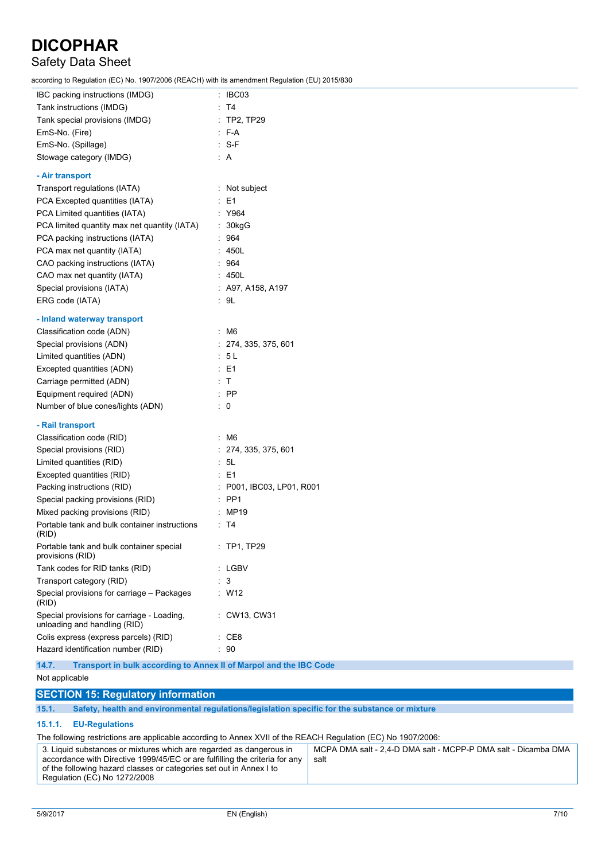## Safety Data Sheet

according to Regulation (EC) No. 1907/2006 (REACH) with its amendment Regulation (EU) 2015/830

| IBC packing instructions (IMDG)                                            | : IBC03                   |
|----------------------------------------------------------------------------|---------------------------|
| Tank instructions (IMDG)                                                   | : T4                      |
| Tank special provisions (IMDG)                                             | $:$ TP2, TP29             |
| EmS-No. (Fire)                                                             | : F-A                     |
| EmS-No. (Spillage)                                                         | $: S-F$                   |
| Stowage category (IMDG)                                                    | : A                       |
| - Air transport                                                            |                           |
| Transport regulations (IATA)                                               | : Not subject             |
| PCA Excepted quantities (IATA)                                             | E1                        |
| PCA Limited quantities (IATA)                                              | : Y964                    |
| PCA limited quantity max net quantity (IATA)                               | 30kgG                     |
| PCA packing instructions (IATA)                                            | 964                       |
| PCA max net quantity (IATA)                                                | 450L                      |
| CAO packing instructions (IATA)                                            | 964                       |
| CAO max net quantity (IATA)                                                | 450L                      |
| Special provisions (IATA)                                                  | : A97, A158, A197         |
| ERG code (IATA)                                                            | : 9L                      |
| - Inland waterway transport                                                |                           |
| Classification code (ADN)                                                  | : M6                      |
| Special provisions (ADN)                                                   | : 274, 335, 375, 601      |
| Limited quantities (ADN)                                                   | : 5 L                     |
| Excepted quantities (ADN)                                                  | : E1                      |
| Carriage permitted (ADN)                                                   | : T                       |
| Equipment required (ADN)                                                   | $:$ PP                    |
| Number of blue cones/lights (ADN)                                          | $\therefore$ 0            |
| - Rail transport                                                           |                           |
| Classification code (RID)                                                  | : M6                      |
| Special provisions (RID)                                                   | : 274, 335, 375, 601      |
| Limited quantities (RID)                                                   | : 5L                      |
| Excepted quantities (RID)                                                  | : E1                      |
| Packing instructions (RID)                                                 | : P001, IBC03, LP01, R001 |
| Special packing provisions (RID)                                           | $:$ PP1                   |
| Mixed packing provisions (RID)                                             | MP19                      |
| Portable tank and bulk container instructions<br>(RID)                     | ∶ T4                      |
| Portable tank and bulk container special<br>provisions (RID)               | : TP1, TP29               |
| Tank codes for RID tanks (RID)                                             | : LGBV                    |
| Transport category (RID)                                                   | : 3                       |
| Special provisions for carriage - Packages<br>(RID)                        | : W12                     |
| Special provisions for carriage - Loading,<br>unloading and handling (RID) | : CW13, CW31              |
| Colis express (express parcels) (RID)                                      | $\therefore$ CE8          |
| Hazard identification number (RID)                                         | : 90                      |
|                                                                            |                           |

**14.7. Transport in bulk according to Annex II of Marpol and the IBC Code**

#### Not applicable

### **SECTION 15: Regulatory information**

**15.1. Safety, health and environmental regulations/legislation specific for the substance or mixture**

### **15.1.1. EU-Regulations**

The following restrictions are applicable according to Annex XVII of the REACH Regulation (EC) No 1907/2006:

| 3. Liquid substances or mixtures which are regarded as dangerous in         | MCPA DMA salt - 2,4-D DMA salt - MCPP-P DMA salt - Dicamba DMA |
|-----------------------------------------------------------------------------|----------------------------------------------------------------|
| accordance with Directive 1999/45/EC or are fulfilling the criteria for any | salt                                                           |
| of the following hazard classes or categories set out in Annex I to         |                                                                |
| Regulation (EC) No 1272/2008                                                |                                                                |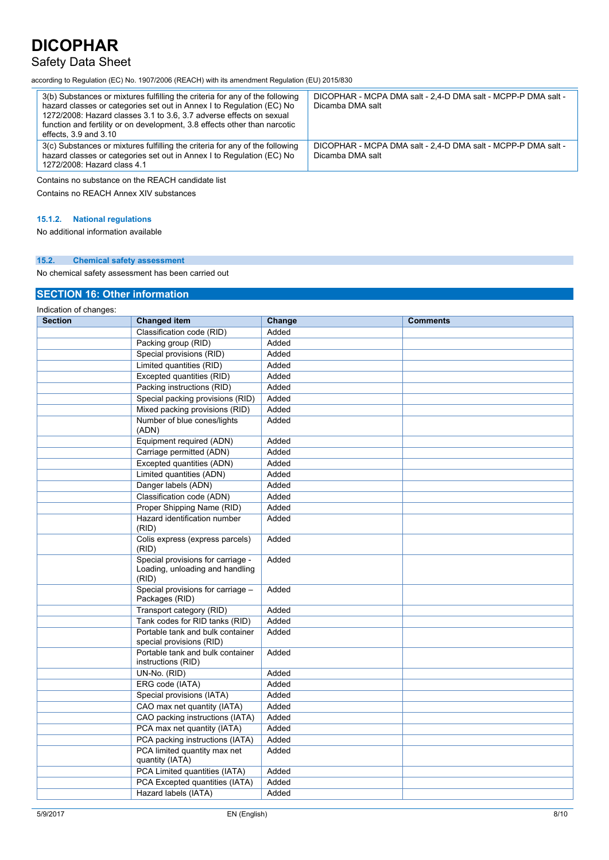### Safety Data Sheet

according to Regulation (EC) No. 1907/2006 (REACH) with its amendment Regulation (EU) 2015/830

| 3(b) Substances or mixtures fulfilling the criteria for any of the following<br>hazard classes or categories set out in Annex I to Regulation (EC) No<br>1272/2008: Hazard classes 3.1 to 3.6, 3.7 adverse effects on sexual<br>function and fertility or on development, 3.8 effects other than narcotic<br>effects, $3.9$ and $3.10$ | DICOPHAR - MCPA DMA salt - 2.4-D DMA salt - MCPP-P DMA salt -<br>Dicamba DMA salt |
|----------------------------------------------------------------------------------------------------------------------------------------------------------------------------------------------------------------------------------------------------------------------------------------------------------------------------------------|-----------------------------------------------------------------------------------|
| 3(c) Substances or mixtures fulfilling the criteria for any of the following<br>hazard classes or categories set out in Annex I to Regulation (EC) No<br>1272/2008: Hazard class 4.1                                                                                                                                                   | DICOPHAR - MCPA DMA salt - 2.4-D DMA salt - MCPP-P DMA salt -<br>Dicamba DMA salt |
|                                                                                                                                                                                                                                                                                                                                        |                                                                                   |

Contains no substance on the REACH candidate list

Contains no REACH Annex XIV substances

### **15.1.2. National regulations**

No additional information available

#### **15.2. Chemical safety assessment**

No chemical safety assessment has been carried out

### **SECTION 16: Other information**

| Indication of changes: |                                                                               |        |                 |
|------------------------|-------------------------------------------------------------------------------|--------|-----------------|
| <b>Section</b>         | <b>Changed item</b>                                                           | Change | <b>Comments</b> |
|                        | Classification code (RID)                                                     | Added  |                 |
|                        | Packing group (RID)                                                           | Added  |                 |
|                        | Special provisions (RID)                                                      | Added  |                 |
|                        | Limited quantities (RID)                                                      | Added  |                 |
|                        | Excepted quantities (RID)                                                     | Added  |                 |
|                        | Packing instructions (RID)                                                    | Added  |                 |
|                        | Special packing provisions (RID)                                              | Added  |                 |
|                        | Mixed packing provisions (RID)                                                | Added  |                 |
|                        | Number of blue cones/lights<br>(ADN)                                          | Added  |                 |
|                        | Equipment required (ADN)                                                      | Added  |                 |
|                        | Carriage permitted (ADN)                                                      | Added  |                 |
|                        | Excepted quantities (ADN)                                                     | Added  |                 |
|                        | Limited quantities (ADN)                                                      | Added  |                 |
|                        | Danger labels (ADN)                                                           | Added  |                 |
|                        | Classification code (ADN)                                                     | Added  |                 |
|                        | Proper Shipping Name (RID)                                                    | Added  |                 |
|                        | Hazard identification number<br>(RID)                                         | Added  |                 |
|                        | Colis express (express parcels)<br>(RID)                                      | Added  |                 |
|                        | Special provisions for carriage -<br>Loading, unloading and handling<br>(RID) | Added  |                 |
|                        | Special provisions for carriage -<br>Packages (RID)                           | Added  |                 |
|                        | Transport category (RID)                                                      | Added  |                 |
|                        | Tank codes for RID tanks (RID)                                                | Added  |                 |
|                        | Portable tank and bulk container<br>special provisions (RID)                  | Added  |                 |
|                        | Portable tank and bulk container<br>instructions (RID)                        | Added  |                 |
|                        | UN-No. (RID)                                                                  | Added  |                 |
|                        | ERG code (IATA)                                                               | Added  |                 |
|                        | Special provisions (IATA)                                                     | Added  |                 |
|                        | CAO max net quantity (IATA)                                                   | Added  |                 |
|                        | CAO packing instructions (IATA)                                               | Added  |                 |
|                        | PCA max net quantity (IATA)                                                   | Added  |                 |
|                        | PCA packing instructions (IATA)                                               | Added  |                 |
|                        | PCA limited quantity max net<br>quantity (IATA)                               | Added  |                 |
|                        | PCA Limited quantities (IATA)                                                 | Added  |                 |
|                        | PCA Excepted quantities (IATA)                                                | Added  |                 |
|                        | Hazard labels (IATA)                                                          | Added  |                 |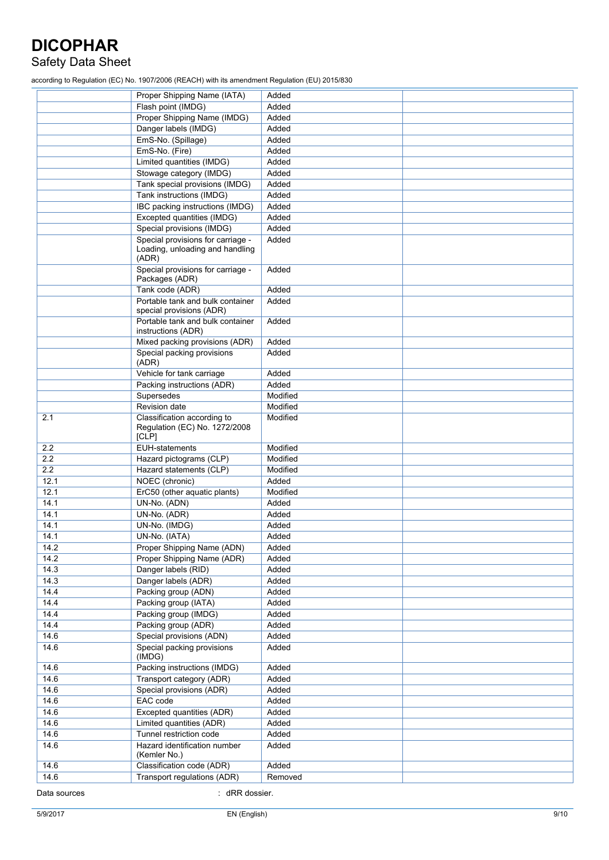## Safety Data Sheet

according to Regulation (EC) No. 1907/2006 (REACH) with its amendment Regulation (EU) 2015/830

|              | Proper Shipping Name (IATA)                                           | Added    |  |
|--------------|-----------------------------------------------------------------------|----------|--|
|              | Flash point (IMDG)                                                    | Added    |  |
|              | Proper Shipping Name (IMDG)                                           | Added    |  |
|              | Danger labels (IMDG)                                                  | Added    |  |
|              | EmS-No. (Spillage)                                                    | Added    |  |
|              | EmS-No. (Fire)                                                        | Added    |  |
|              | Limited quantities (IMDG)                                             | Added    |  |
|              | Stowage category (IMDG)                                               | Added    |  |
|              | Tank special provisions (IMDG)                                        | Added    |  |
|              | Tank instructions (IMDG)                                              | Added    |  |
|              | IBC packing instructions (IMDG)                                       | Added    |  |
|              | Excepted quantities (IMDG)                                            | Added    |  |
|              | Special provisions (IMDG)                                             | Added    |  |
|              | Special provisions for carriage -                                     | Added    |  |
|              | Loading, unloading and handling<br>(ADR)                              |          |  |
|              | Special provisions for carriage -<br>Packages (ADR)                   | Added    |  |
|              | Tank code (ADR)                                                       | Added    |  |
|              | Portable tank and bulk container<br>special provisions (ADR)          | Added    |  |
|              | Portable tank and bulk container                                      | Added    |  |
|              | instructions (ADR)                                                    |          |  |
|              | Mixed packing provisions (ADR)                                        | Added    |  |
|              | Special packing provisions<br>(ADR)                                   | Added    |  |
|              | Vehicle for tank carriage                                             | Added    |  |
|              | Packing instructions (ADR)                                            | Added    |  |
|              | Supersedes                                                            | Modified |  |
|              | Revision date                                                         | Modified |  |
| 2.1          | Classification according to<br>Regulation (EC) No. 1272/2008<br>[CLP] | Modified |  |
| 2.2          | <b>EUH-statements</b>                                                 | Modified |  |
| 2.2          | Hazard pictograms (CLP)                                               | Modified |  |
| 2.2          | Hazard statements (CLP)                                               | Modified |  |
| 12.1         | NOEC (chronic)                                                        | Added    |  |
| 12.1         | ErC50 (other aquatic plants)                                          | Modified |  |
| 14.1         | UN-No. (ADN)                                                          | Added    |  |
| 14.1         | UN-No. (ADR)                                                          | Added    |  |
| 14.1         | UN-No. (IMDG)                                                         | Added    |  |
| 14.1         | UN-No. (IATA)                                                         | Added    |  |
| 14.2         | Proper Shipping Name (ADN)                                            | Added    |  |
| 14.2         | Proper Shipping Name (ADR)                                            | Added    |  |
| 14.3         | Danger labels (RID)                                                   | Added    |  |
| 14.3         | Danger labels (ADR)                                                   | Added    |  |
| 14.4         | Packing group (ADN)                                                   | Added    |  |
| 14.4         | Packing group (IATA)                                                  | Added    |  |
| 14.4         | Packing group (IMDG)                                                  | Added    |  |
| 14.4         | Packing group (ADR)                                                   | Added    |  |
| 14.6         | Special provisions (ADN)                                              | Added    |  |
| 14.6         | Special packing provisions<br>(IMDG)                                  | Added    |  |
| 14.6         | Packing instructions (IMDG)                                           | Added    |  |
| 14.6         | Transport category (ADR)                                              | Added    |  |
| 14.6         | Special provisions (ADR)                                              | Added    |  |
| 14.6         | EAC code                                                              | Added    |  |
| 14.6         | Excepted quantities (ADR)                                             | Added    |  |
| 14.6         | Limited quantities (ADR)                                              | Added    |  |
| 14.6         | Tunnel restriction code                                               | Added    |  |
| 14.6         | Hazard identification number<br>(Kemler No.)                          | Added    |  |
| 14.6         | Classification code (ADR)                                             | Added    |  |
| 14.6         | Transport regulations (ADR)                                           | Removed  |  |
| Data sources | : dRR dossier.                                                        |          |  |

Data sources